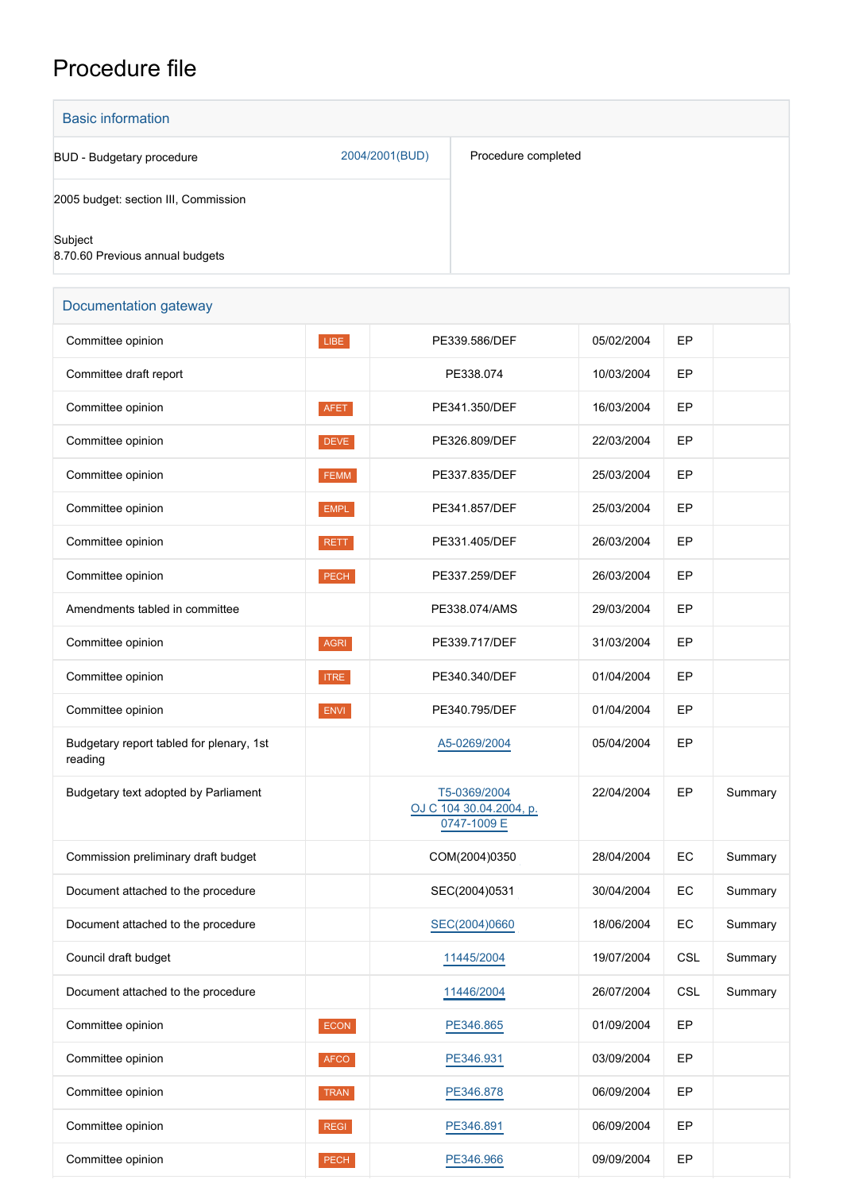## Procedure file

| <b>Basic information</b>                   |                |                     |
|--------------------------------------------|----------------|---------------------|
| BUD - Budgetary procedure                  | 2004/2001(BUD) | Procedure completed |
| 2005 budget: section III, Commission       |                |                     |
| Subject<br>8.70.60 Previous annual budgets |                |                     |

| Documentation gateway                               |             |                                                        |            |            |         |
|-----------------------------------------------------|-------------|--------------------------------------------------------|------------|------------|---------|
| Committee opinion                                   | LIBE        | PE339.586/DEF                                          | 05/02/2004 | EP         |         |
| Committee draft report                              |             | PE338.074                                              | 10/03/2004 | EP         |         |
| Committee opinion                                   | AFET        | PE341.350/DEF                                          | 16/03/2004 | EP         |         |
| Committee opinion                                   | <b>DEVE</b> | PE326.809/DEF                                          | 22/03/2004 | EP         |         |
| Committee opinion                                   | FEMM        | PE337.835/DEF                                          | 25/03/2004 | EP         |         |
| Committee opinion                                   | <b>EMPL</b> | PE341.857/DEF                                          | 25/03/2004 | EP         |         |
| Committee opinion                                   | <b>RETT</b> | PE331.405/DEF                                          | 26/03/2004 | EP         |         |
| Committee opinion                                   | PECH        | PE337.259/DEF                                          | 26/03/2004 | EP         |         |
| Amendments tabled in committee                      |             | PE338.074/AMS                                          | 29/03/2004 | EP         |         |
| Committee opinion                                   | AGRI        | PE339.717/DEF                                          | 31/03/2004 | EP         |         |
| Committee opinion                                   | <b>ITRE</b> | PE340.340/DEF                                          | 01/04/2004 | EP         |         |
| Committee opinion                                   | ENVI        | PE340.795/DEF                                          | 01/04/2004 | EP         |         |
| Budgetary report tabled for plenary, 1st<br>reading |             | A5-0269/2004                                           | 05/04/2004 | EP         |         |
| Budgetary text adopted by Parliament                |             | T5-0369/2004<br>OJ C 104 30.04.2004, p.<br>0747-1009 E | 22/04/2004 | EP         | Summary |
| Commission preliminary draft budget                 |             | COM(2004)0350                                          | 28/04/2004 | EC         | Summary |
| Document attached to the procedure                  |             | SEC(2004)0531                                          | 30/04/2004 | EC         | Summary |
| Document attached to the procedure                  |             | SEC(2004)0660                                          | 18/06/2004 | EC         | Summary |
| Council draft budget                                |             | 11445/2004                                             | 19/07/2004 | <b>CSL</b> | Summary |
| Document attached to the procedure                  |             | 11446/2004                                             | 26/07/2004 | <b>CSL</b> | Summary |
| Committee opinion                                   | ECON        | PE346.865                                              | 01/09/2004 | EP         |         |
| Committee opinion                                   | <b>AFCO</b> | PE346.931                                              | 03/09/2004 | EP         |         |
| Committee opinion                                   | TRAN        | PE346.878                                              | 06/09/2004 | EP         |         |
| Committee opinion                                   | <b>REGI</b> | PE346.891                                              | 06/09/2004 | EP         |         |
| Committee opinion                                   | PECH        | PE346.966                                              | 09/09/2004 | EP         |         |